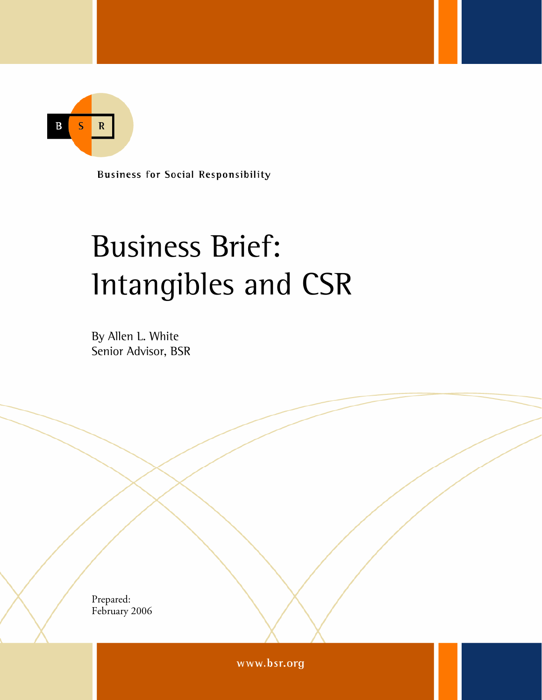$\mathbf{R}$  $\overline{\mathsf{S}}$ B

**Business for Social Responsibility** 

# Business Brief: Intangibles and CSR

By Allen L. White Senior Advisor, BSR

Prepared: February 2006

© Business for Social Responsibility1

www.bsr.org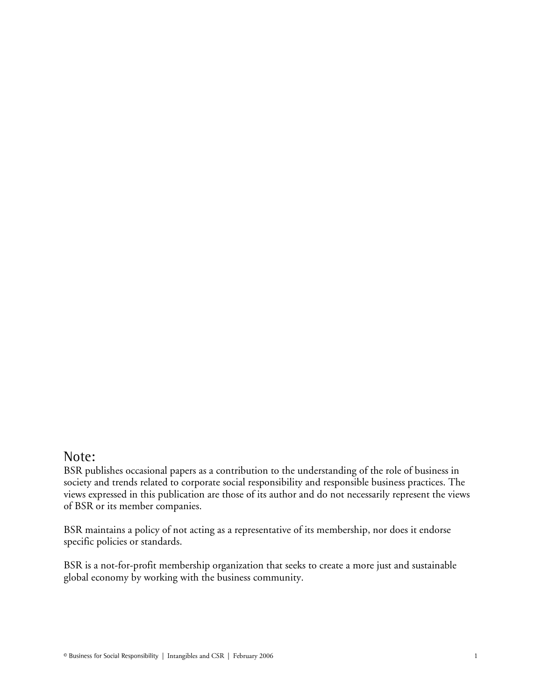### Note:

BSR publishes occasional papers as a contribution to the understanding of the role of business in society and trends related to corporate social responsibility and responsible business practices. The views expressed in this publication are those of its author and do not necessarily represent the views of BSR or its member companies.

BSR maintains a policy of not acting as a representative of its membership, nor does it endorse specific policies or standards.

BSR is a not-for-profit membership organization that seeks to create a more just and sustainable global economy by working with the business community.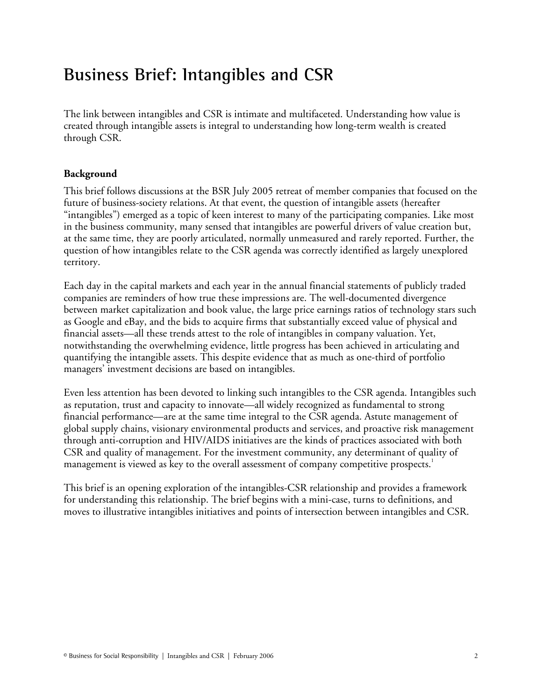# Business Brief: Intangibles and CSR

The link between intangibles and CSR is intimate and multifaceted. Understanding how value is created through intangible assets is integral to understanding how long-term wealth is created through CSR.

#### **Background**

This brief follows discussions at the BSR July 2005 retreat of member companies that focused on the future of business-society relations. At that event, the question of intangible assets (hereafter "intangibles") emerged as a topic of keen interest to many of the participating companies. Like most in the business community, many sensed that intangibles are powerful drivers of value creation but, at the same time, they are poorly articulated, normally unmeasured and rarely reported. Further, the question of how intangibles relate to the CSR agenda was correctly identified as largely unexplored territory.

Each day in the capital markets and each year in the annual financial statements of publicly traded companies are reminders of how true these impressions are. The well-documented divergence between market capitalization and book value, the large price earnings ratios of technology stars such as Google and eBay, and the bids to acquire firms that substantially exceed value of physical and financial assets—all these trends attest to the role of intangibles in company valuation. Yet, notwithstanding the overwhelming evidence, little progress has been achieved in articulating and quantifying the intangible assets. This despite evidence that as much as one-third of portfolio managers' investment decisions are based on intangibles.

Even less attention has been devoted to linking such intangibles to the CSR agenda. Intangibles such as reputation, trust and capacity to innovate—all widely recognized as fundamental to strong financial performance—are at the same time integral to the CSR agenda. Astute management of global supply chains, visionary environmental products and services, and proactive risk management through anti-corruption and HIV/AIDS initiatives are the kinds of practices associated with both CSR and quality of management. For the investment community, any determinant of quality of management is viewed as key to the overall assessment of company competitive prospects.<sup>1</sup>

This brief is an opening exploration of the intangibles-CSR relationship and provides a framework for understanding this relationship. The brief begins with a mini-case, turns to definitions, and moves to illustrative intangibles initiatives and points of intersection between intangibles and CSR.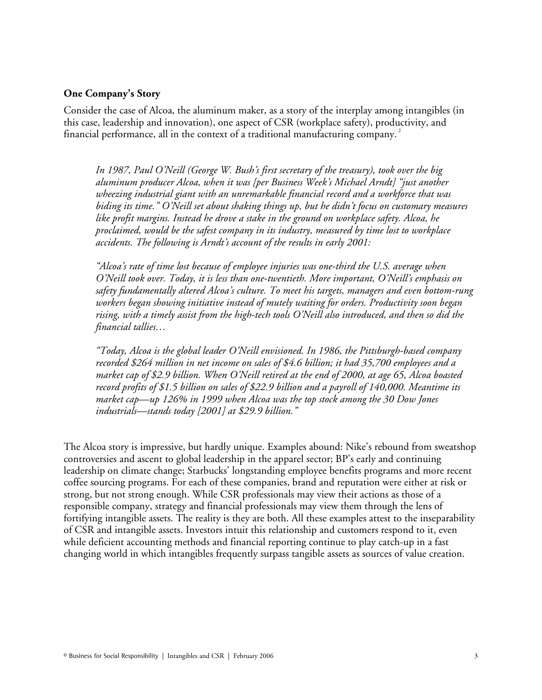#### **One Company's Story**

Consider the case of Alcoa, the aluminum maker, as a story of the interplay among intangibles (in this case, leadership and innovation), one aspect of CSR (workplace safety), productivity, and financial performance, all in the context of a traditional manufacturing company.<sup>2</sup>

*In 1987, Paul O'Neill (George W. Bush's first secretary of the treasury), took over the big aluminum producer Alcoa, when it was [per Business Week's Michael Arndt] "just another wheezing industrial giant with an unremarkable financial record and a workforce that was biding its time." O'Neill set about shaking things up, but he didn't focus on customary measures like profit margins. Instead he drove a stake in the ground on workplace safety. Alcoa, he proclaimed, would be the safest company in its industry, measured by time lost to workplace accidents. The following is Arndt's account of the results in early 2001:* 

*"Alcoa's rate of time lost because of employee injuries was one-third the U.S. average when O'Neill took over. Today, it is less than one-twentieth. More important, O'Neill's emphasis on safety fundamentally altered Alcoa's culture. To meet his targets, managers and even bottom-rung workers began showing initiative instead of mutely waiting for orders. Productivity soon began rising, with a timely assist from the high-tech tools O'Neill also introduced, and then so did the financial tallies…*

*"Today, Alcoa is the global leader O'Neill envisioned. In 1986, the Pittsburgh-based company recorded \$264 million in net income on sales of \$4.6 billion; it had 35,700 employees and a market cap of \$2.9 billion. When O'Neill retired at the end of 2000, at age 65, Alcoa boasted record profits of \$1.5 billion on sales of \$22.9 billion and a payroll of 140,000. Meantime its market cap—up 126% in 1999 when Alcoa was the top stock among the 30 Dow Jones industrials—stands today [2001] at \$29.9 billion."* 

The Alcoa story is impressive, but hardly unique. Examples abound: Nike's rebound from sweatshop controversies and ascent to global leadership in the apparel sector; BP's early and continuing leadership on climate change; Starbucks' longstanding employee benefits programs and more recent coffee sourcing programs. For each of these companies, brand and reputation were either at risk or strong, but not strong enough. While CSR professionals may view their actions as those of a responsible company, strategy and financial professionals may view them through the lens of fortifying intangible assets. The reality is they are both. All these examples attest to the inseparability of CSR and intangible assets. Investors intuit this relationship and customers respond to it, even while deficient accounting methods and financial reporting continue to play catch-up in a fast changing world in which intangibles frequently surpass tangible assets as sources of value creation.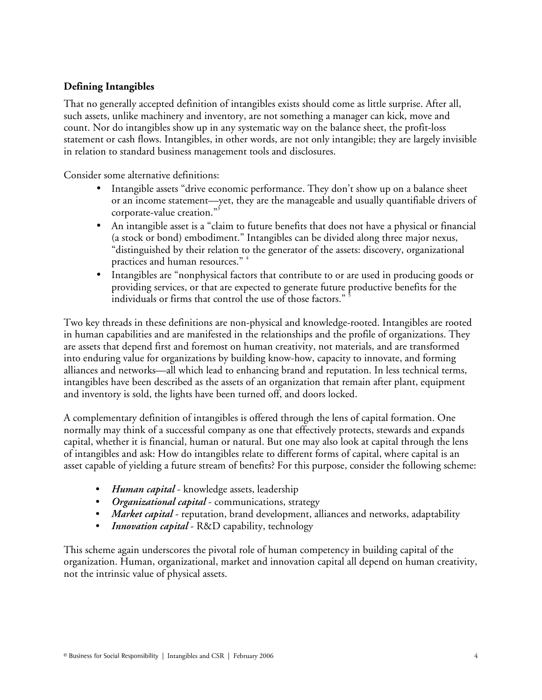#### **Defining Intangibles**

That no generally accepted definition of intangibles exists should come as little surprise. After all, such assets, unlike machinery and inventory, are not something a manager can kick, move and count. Nor do intangibles show up in any systematic way on the balance sheet, the profit-loss statement or cash flows. Intangibles, in other words, are not only intangible; they are largely invisible in relation to standard business management tools and disclosures.

Consider some alternative definitions:

- Intangible assets "drive economic performance. They don't show up on a balance sheet or an income statement—yet, they are the manageable and usually quantifiable drivers of corporate-value creation."<sup>3</sup>
- An intangible asset is a "claim to future benefits that does not have a physical or financial (a stock or bond) embodiment." Intangibles can be divided along three major nexus, "distinguished by their relation to the generator of the assets: discovery, organizational practices and human resources." <sup>4</sup>
- Intangibles are "nonphysical factors that contribute to or are used in producing goods or providing services, or that are expected to generate future productive benefits for the individuals or firms that control the use of those factors." <sup>5</sup>

Two key threads in these definitions are non-physical and knowledge-rooted. Intangibles are rooted in human capabilities and are manifested in the relationships and the profile of organizations. They are assets that depend first and foremost on human creativity, not materials, and are transformed into enduring value for organizations by building know-how, capacity to innovate, and forming alliances and networks—all which lead to enhancing brand and reputation. In less technical terms, intangibles have been described as the assets of an organization that remain after plant, equipment and inventory is sold, the lights have been turned off, and doors locked.

A complementary definition of intangibles is offered through the lens of capital formation. One normally may think of a successful company as one that effectively protects, stewards and expands capital, whether it is financial, human or natural. But one may also look at capital through the lens of intangibles and ask: How do intangibles relate to different forms of capital, where capital is an asset capable of yielding a future stream of benefits? For this purpose, consider the following scheme:

- *Human capital* knowledge assets, leadership
- *Organizational capital* communications, strategy
- *Market capital* reputation, brand development, alliances and networks, adaptability
- *Innovation capital* R&D capability, technology

This scheme again underscores the pivotal role of human competency in building capital of the organization. Human, organizational, market and innovation capital all depend on human creativity, not the intrinsic value of physical assets.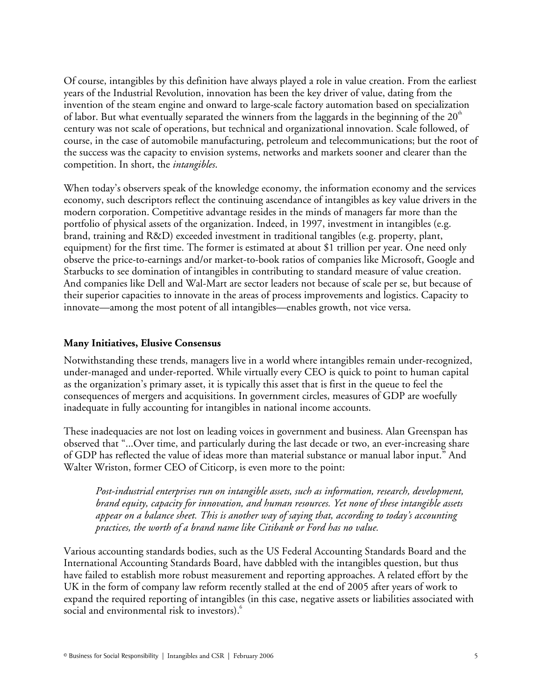Of course, intangibles by this definition have always played a role in value creation. From the earliest years of the Industrial Revolution, innovation has been the key driver of value, dating from the invention of the steam engine and onward to large-scale factory automation based on specialization of labor. But what eventually separated the winners from the laggards in the beginning of the  $20^{\circ}$ century was not scale of operations, but technical and organizational innovation. Scale followed, of course, in the case of automobile manufacturing, petroleum and telecommunications; but the root of the success was the capacity to envision systems, networks and markets sooner and clearer than the competition. In short, the *intangibles*.

When today's observers speak of the knowledge economy, the information economy and the services economy, such descriptors reflect the continuing ascendance of intangibles as key value drivers in the modern corporation. Competitive advantage resides in the minds of managers far more than the portfolio of physical assets of the organization. Indeed, in 1997, investment in intangibles (e.g. brand, training and R&D) exceeded investment in traditional tangibles (e.g. property, plant, equipment) for the first time. The former is estimated at about \$1 trillion per year. One need only observe the price-to-earnings and/or market-to-book ratios of companies like Microsoft, Google and Starbucks to see domination of intangibles in contributing to standard measure of value creation. And companies like Dell and Wal-Mart are sector leaders not because of scale per se, but because of their superior capacities to innovate in the areas of process improvements and logistics. Capacity to innovate—among the most potent of all intangibles—enables growth, not vice versa.

#### **Many Initiatives, Elusive Consensus**

Notwithstanding these trends, managers live in a world where intangibles remain under-recognized, under-managed and under-reported. While virtually every CEO is quick to point to human capital as the organization's primary asset, it is typically this asset that is first in the queue to feel the consequences of mergers and acquisitions. In government circles, measures of GDP are woefully inadequate in fully accounting for intangibles in national income accounts.

These inadequacies are not lost on leading voices in government and business. Alan Greenspan has observed that "...Over time, and particularly during the last decade or two, an ever-increasing share of GDP has reflected the value of ideas more than material substance or manual labor input." And Walter Wriston, former CEO of Citicorp, is even more to the point:

*Post-industrial enterprises run on intangible assets, such as information, research, development, brand equity, capacity for innovation, and human resources. Yet none of these intangible assets appear on a balance sheet. This is another way of saying that, according to today's accounting practices, the worth of a brand name like Citibank or Ford has no value.* 

Various accounting standards bodies, such as the US Federal Accounting Standards Board and the International Accounting Standards Board, have dabbled with the intangibles question, but thus have failed to establish more robust measurement and reporting approaches. A related effort by the UK in the form of company law reform recently stalled at the end of 2005 after years of work to expand the required reporting of intangibles (in this case, negative assets or liabilities associated with social and environmental risk to investors).<sup>6</sup>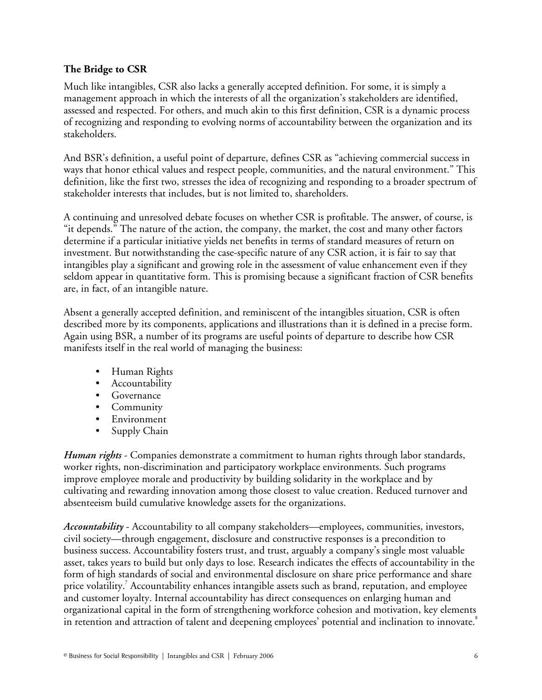#### **The Bridge to CSR**

Much like intangibles, CSR also lacks a generally accepted definition. For some, it is simply a management approach in which the interests of all the organization's stakeholders are identified, assessed and respected. For others, and much akin to this first definition, CSR is a dynamic process of recognizing and responding to evolving norms of accountability between the organization and its stakeholders.

And BSR's definition, a useful point of departure, defines CSR as "achieving commercial success in ways that honor ethical values and respect people, communities, and the natural environment." This definition, like the first two, stresses the idea of recognizing and responding to a broader spectrum of stakeholder interests that includes, but is not limited to, shareholders.

A continuing and unresolved debate focuses on whether CSR is profitable. The answer, of course, is "it depends." The nature of the action, the company, the market, the cost and many other factors determine if a particular initiative yields net benefits in terms of standard measures of return on investment. But notwithstanding the case-specific nature of any CSR action, it is fair to say that intangibles play a significant and growing role in the assessment of value enhancement even if they seldom appear in quantitative form. This is promising because a significant fraction of CSR benefits are, in fact, of an intangible nature.

Absent a generally accepted definition, and reminiscent of the intangibles situation, CSR is often described more by its components, applications and illustrations than it is defined in a precise form. Again using BSR, a number of its programs are useful points of departure to describe how CSR manifests itself in the real world of managing the business:

- Human Rights
- Accountability
- Governance
- Community
- Environment
- Supply Chain

*Human rights* - Companies demonstrate a commitment to human rights through labor standards, worker rights, non-discrimination and participatory workplace environments. Such programs improve employee morale and productivity by building solidarity in the workplace and by cultivating and rewarding innovation among those closest to value creation. Reduced turnover and absenteeism build cumulative knowledge assets for the organizations.

*Accountability* - Accountability to all company stakeholders—employees, communities, investors, civil society—through engagement, disclosure and constructive responses is a precondition to business success. Accountability fosters trust, and trust, arguably a company's single most valuable asset, takes years to build but only days to lose. Research indicates the effects of accountability in the form of high standards of social and environmental disclosure on share price performance and share price volatility.<sup>7</sup> Accountability enhances intangible assets such as brand, reputation, and employee and customer loyalty. Internal accountability has direct consequences on enlarging human and organizational capital in the form of strengthening workforce cohesion and motivation, key elements in retention and attraction of talent and deepening employees' potential and inclination to innovate. $^8$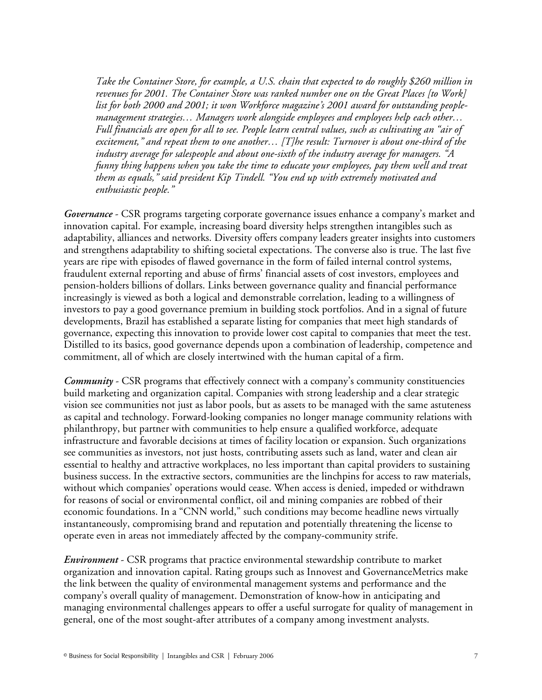*Take the Container Store, for example, a U.S. chain that expected to do roughly \$260 million in revenues for 2001. The Container Store was ranked number one on the Great Places [to Work] list for both 2000 and 2001; it won Workforce magazine's 2001 award for outstanding peoplemanagement strategies… Managers work alongside employees and employees help each other… Full financials are open for all to see. People learn central values, such as cultivating an "air of excitement," and repeat them to one another… [T]he result: Turnover is about one-third of the industry average for salespeople and about one-sixth of the industry average for managers. "A funny thing happens when you take the time to educate your employees, pay them well and treat them as equals," said president Kip Tindell. "You end up with extremely motivated and enthusiastic people."* 

*Governance* - CSR programs targeting corporate governance issues enhance a company's market and innovation capital. For example, increasing board diversity helps strengthen intangibles such as adaptability, alliances and networks. Diversity offers company leaders greater insights into customers and strengthens adaptability to shifting societal expectations. The converse also is true. The last five years are ripe with episodes of flawed governance in the form of failed internal control systems, fraudulent external reporting and abuse of firms' financial assets of cost investors, employees and pension-holders billions of dollars. Links between governance quality and financial performance increasingly is viewed as both a logical and demonstrable correlation, leading to a willingness of investors to pay a good governance premium in building stock portfolios. And in a signal of future developments, Brazil has established a separate listing for companies that meet high standards of governance, expecting this innovation to provide lower cost capital to companies that meet the test. Distilled to its basics, good governance depends upon a combination of leadership, competence and commitment, all of which are closely intertwined with the human capital of a firm.

*Community* - CSR programs that effectively connect with a company's community constituencies build marketing and organization capital. Companies with strong leadership and a clear strategic vision see communities not just as labor pools, but as assets to be managed with the same astuteness as capital and technology. Forward-looking companies no longer manage community relations with philanthropy, but partner with communities to help ensure a qualified workforce, adequate infrastructure and favorable decisions at times of facility location or expansion. Such organizations see communities as investors, not just hosts, contributing assets such as land, water and clean air essential to healthy and attractive workplaces, no less important than capital providers to sustaining business success. In the extractive sectors, communities are the linchpins for access to raw materials, without which companies' operations would cease. When access is denied, impeded or withdrawn for reasons of social or environmental conflict, oil and mining companies are robbed of their economic foundations. In a "CNN world," such conditions may become headline news virtually instantaneously, compromising brand and reputation and potentially threatening the license to operate even in areas not immediately affected by the company-community strife.

*Environment* - CSR programs that practice environmental stewardship contribute to market organization and innovation capital. Rating groups such as Innovest and GovernanceMetrics make the link between the quality of environmental management systems and performance and the company's overall quality of management. Demonstration of know-how in anticipating and managing environmental challenges appears to offer a useful surrogate for quality of management in general, one of the most sought-after attributes of a company among investment analysts.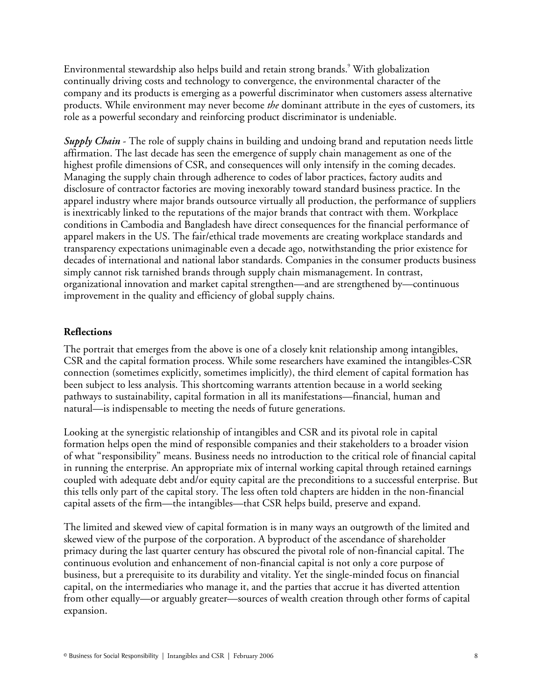Environmental stewardship also helps build and retain strong brands.<sup>9</sup> With globalization continually driving costs and technology to convergence, the environmental character of the company and its products is emerging as a powerful discriminator when customers assess alternative products. While environment may never become *the* dominant attribute in the eyes of customers, its role as a powerful secondary and reinforcing product discriminator is undeniable.

*Supply Chain* - The role of supply chains in building and undoing brand and reputation needs little affirmation. The last decade has seen the emergence of supply chain management as one of the highest profile dimensions of CSR, and consequences will only intensify in the coming decades. Managing the supply chain through adherence to codes of labor practices, factory audits and disclosure of contractor factories are moving inexorably toward standard business practice. In the apparel industry where major brands outsource virtually all production, the performance of suppliers is inextricably linked to the reputations of the major brands that contract with them. Workplace conditions in Cambodia and Bangladesh have direct consequences for the financial performance of apparel makers in the US. The fair/ethical trade movements are creating workplace standards and transparency expectations unimaginable even a decade ago, notwithstanding the prior existence for decades of international and national labor standards. Companies in the consumer products business simply cannot risk tarnished brands through supply chain mismanagement. In contrast, organizational innovation and market capital strengthen—and are strengthened by—continuous improvement in the quality and efficiency of global supply chains.

#### **Reflections**

The portrait that emerges from the above is one of a closely knit relationship among intangibles, CSR and the capital formation process. While some researchers have examined the intangibles-CSR connection (sometimes explicitly, sometimes implicitly), the third element of capital formation has been subject to less analysis. This shortcoming warrants attention because in a world seeking pathways to sustainability, capital formation in all its manifestations—financial, human and natural—is indispensable to meeting the needs of future generations.

Looking at the synergistic relationship of intangibles and CSR and its pivotal role in capital formation helps open the mind of responsible companies and their stakeholders to a broader vision of what "responsibility" means. Business needs no introduction to the critical role of financial capital in running the enterprise. An appropriate mix of internal working capital through retained earnings coupled with adequate debt and/or equity capital are the preconditions to a successful enterprise. But this tells only part of the capital story. The less often told chapters are hidden in the non-financial capital assets of the firm—the intangibles—that CSR helps build, preserve and expand.

The limited and skewed view of capital formation is in many ways an outgrowth of the limited and skewed view of the purpose of the corporation. A byproduct of the ascendance of shareholder primacy during the last quarter century has obscured the pivotal role of non-financial capital. The continuous evolution and enhancement of non-financial capital is not only a core purpose of business, but a prerequisite to its durability and vitality. Yet the single-minded focus on financial capital, on the intermediaries who manage it, and the parties that accrue it has diverted attention from other equally—or arguably greater—sources of wealth creation through other forms of capital expansion.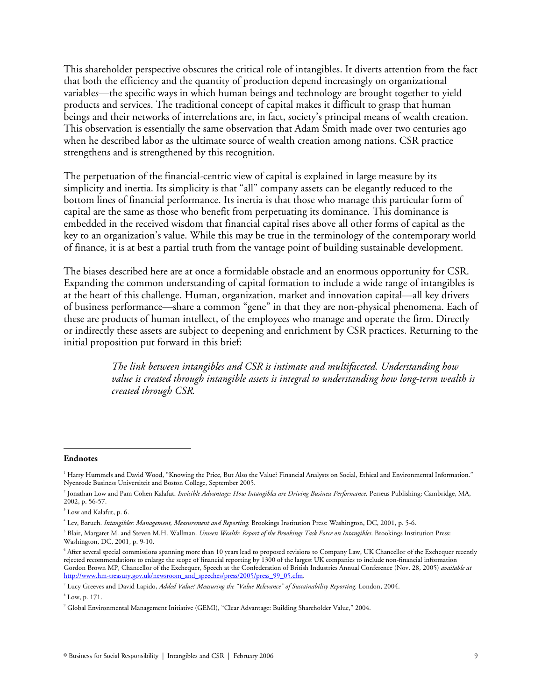This shareholder perspective obscures the critical role of intangibles. It diverts attention from the fact that both the efficiency and the quantity of production depend increasingly on organizational variables—the specific ways in which human beings and technology are brought together to yield products and services. The traditional concept of capital makes it difficult to grasp that human beings and their networks of interrelations are, in fact, society's principal means of wealth creation. This observation is essentially the same observation that Adam Smith made over two centuries ago when he described labor as the ultimate source of wealth creation among nations. CSR practice strengthens and is strengthened by this recognition.

The perpetuation of the financial-centric view of capital is explained in large measure by its simplicity and inertia. Its simplicity is that "all" company assets can be elegantly reduced to the bottom lines of financial performance. Its inertia is that those who manage this particular form of capital are the same as those who benefit from perpetuating its dominance. This dominance is embedded in the received wisdom that financial capital rises above all other forms of capital as the key to an organization's value. While this may be true in the terminology of the contemporary world of finance, it is at best a partial truth from the vantage point of building sustainable development.

The biases described here are at once a formidable obstacle and an enormous opportunity for CSR. Expanding the common understanding of capital formation to include a wide range of intangibles is at the heart of this challenge. Human, organization, market and innovation capital—all key drivers of business performance—share a common "gene" in that they are non-physical phenomena. Each of these are products of human intellect, of the employees who manage and operate the firm. Directly or indirectly these assets are subject to deepening and enrichment by CSR practices. Returning to the initial proposition put forward in this brief:

> *The link between intangibles and CSR is intimate and multifaceted. Understanding how value is created through intangible assets is integral to understanding how long-term wealth is created through CSR.*

#### **Endnotes**

-

<sup>1</sup> Harry Hummels and David Wood, "Knowing the Price, But Also the Value? Financial Analysts on Social, Ethical and Environmental Information." Nyenrode Business Universiteit and Boston College, September 2005.

<sup>&</sup>lt;sup>2</sup> Jonathan Low and Pam Cohen Kalafut. *Invisible Advantage: How Intangibles are Driving Business Performance.* Perseus Publishing: Cambridge, MA, 2002, p. 56-57.

<sup>3</sup> Low and Kalafut, p. 6.

<sup>4</sup> Lev, Baruch. *Intangibles: Management, Measurement and Reporting*. Brookings Institution Press: Washington, DC, 2001, p. 5-6.

<sup>5</sup> Blair, Margaret M. and Steven M.H. Wallman. *Unseen Wealth: Report of the Brookings Task Force on Intangibles*. Brookings Institution Press: Washington, DC, 2001, p. 9-10.

<sup>6</sup> After several special commissions spanning more than 10 years lead to proposed revisions to Company Law, UK Chancellor of the Exchequer recently rejected recommendations to enlarge the scope of financial reporting by 1300 of the largest UK companies to include non-financial information Gordon Brown MP, Chancellor of the Exchequer, Speech at the Confederation of British Industries Annual Conference (Nov. 28, 2005) *available at* http://www.hm-treasury.gov.uk/newsroom\_and\_speeches/press/2005/press\_99\_05.cfm.

<sup>&</sup>lt;sup>7</sup> Lucy Greeves and David Lapido, *Added Value? Measuring the "Value Relevance" of Sustainability Reporting. London, 2004.* 

 $<sup>8</sup>$  Low, p. 171.</sup>

<sup>9</sup> Global Environmental Management Initiative (GEMI), "Clear Advantage: Building Shareholder Value," 2004.